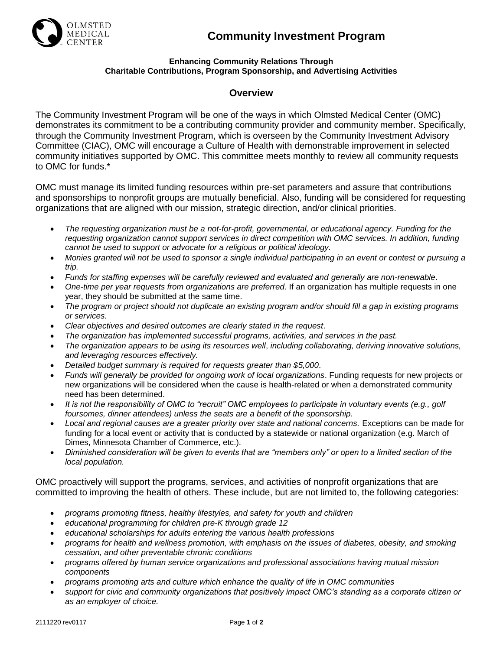



## **Enhancing Community Relations Through Charitable Contributions, Program Sponsorship, and Advertising Activities**

## **Overview**

The Community Investment Program will be one of the ways in which Olmsted Medical Center (OMC) demonstrates its commitment to be a contributing community provider and community member. Specifically, through the Community Investment Program, which is overseen by the Community Investment Advisory Committee (CIAC), OMC will encourage a Culture of Health with demonstrable improvement in selected community initiatives supported by OMC. This committee meets monthly to review all community requests to OMC for funds.\*

OMC must manage its limited funding resources within pre-set parameters and assure that contributions and sponsorships to nonprofit groups are mutually beneficial. Also, funding will be considered for requesting organizations that are aligned with our mission, strategic direction, and/or clinical priorities.

- *The requesting organization must be a not-for-profit, governmental, or educational agency. Funding for the requesting organization cannot support services in direct competition with OMC services. In addition, funding cannot be used to support or advocate for a religious or political ideology.*
- *Monies granted will not be used to sponsor a single individual participating in an event or contest or pursuing a trip.*
- *Funds for staffing expenses will be carefully reviewed and evaluated and generally are non-renewable*.
- *One-time per year requests from organizations are preferred*. If an organization has multiple requests in one year, they should be submitted at the same time.
- *The program or project should not duplicate an existing program and/or should fill a gap in existing programs or services.*
- *Clear objectives and desired outcomes are clearly stated in the request*.
- *The organization has implemented successful programs, activities, and services in the past.*
- *The organization appears to be using its resources well*, *including collaborating, deriving innovative solutions, and leveraging resources effectively.*
- *Detailed budget summary is required for requests greater than \$5,000*.
- *Funds will generally be provided for ongoing work of local organizations*. Funding requests for new projects or new organizations will be considered when the cause is health-related or when a demonstrated community need has been determined.
- *It is not the responsibility of OMC to "recruit" OMC employees to participate in voluntary events (e.g., golf foursomes, dinner attendees) unless the seats are a benefit of the sponsorship.*
- *Local and regional causes are a greater priority over state and national concerns.* Exceptions can be made for funding for a local event or activity that is conducted by a statewide or national organization (e.g. March of Dimes, Minnesota Chamber of Commerce, etc.).
- *Diminished consideration will be given to events that are "members only" or open to a limited section of the local population.*

OMC proactively will support the programs, services, and activities of nonprofit organizations that are committed to improving the health of others. These include, but are not limited to, the following categories:

- *programs promoting fitness, healthy lifestyles, and safety for youth and children*
- *educational programming for children pre-K through grade 12*
- *educational scholarships for adults entering the various health professions*
- *programs for health and wellness promotion, with emphasis on the issues of diabetes, obesity, and smoking cessation, and other preventable chronic conditions*
- *programs offered by human service organizations and professional associations having mutual mission components*
- *programs promoting arts and culture which enhance the quality of life in OMC communities*
- *support for civic and community organizations that positively impact OMC's standing as a corporate citizen or as an employer of choice.*